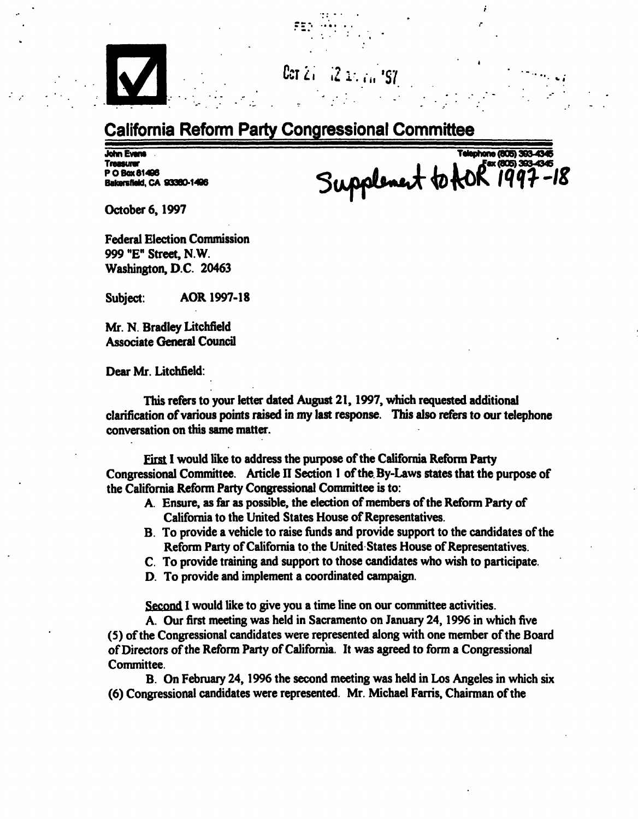## Ccrizi,

## California Reform Party Congressional Committee

Treasurer PO Box 81498 Bakersfield, CA 93380-1496

John Evans ~ Telephone (805) 393-4346 Supplement to AOI

October 6,1997

Federal Election Commission 999 "E" Street, N.W. Washington, D.C. 20463

Subject: AOR1997-18

Mr. N.Bradley Litchfield Associate General Council

Dear Mr. Litchfield:

This refers to your letter dated August 21,1997, which requested additional clarification of various points raised in my last response. This also refers to our telephone conversation on this same matter.

First I would like to address the purpose of the California Reform Party Congressional Committee. Article II Section 1 of the By-Laws states that the purpose of the California Reform Party Congressional Committee is to:

- A. Ensure, as far as possible, the election of members of the Reform Party of California to the United States House of Representatives.
- B. To provide a vehicle to raise funds and provide support to the candidates of the Reform Party of California to the United States House of Representatives.
- C. To provide training and support to those candidates who wish to participate.
- D. To provide and implement a coordinated campaign.

Second I would like to give you a time line on our committee activities.

A. Our first meeting was held in Sacramento on January 24,1996 in which five (5) of the Congressional candidates were represented along with one member of the Board of Directors of the Reform Party of California. It was agreed to form a Congressional Committee.

B. On February 24,1996 the second meeting was held in Los Angeles in which six (6) Congressional candidates were represented. Mr. Michael Farris, Chairman of the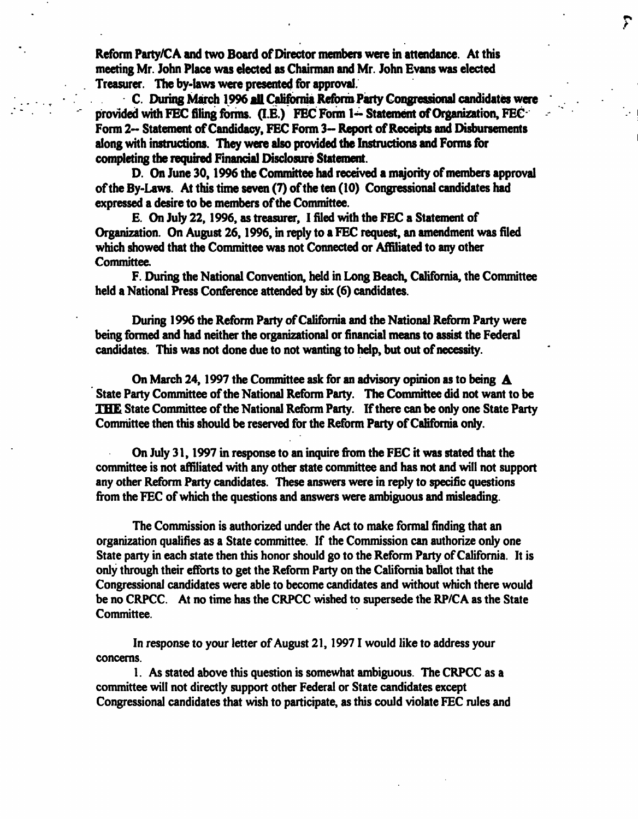Reform Party/CA and two Board of Director members were in attendance. At this meeting Mr. John Place was elected as Chairman and Mr. John Evans was elected Treasurer. The by-laws were presented for approval.

C. During Match 1996 all California Reform Party Congressional candidates were provided with FEC filing forms. (I.E.) FEC Form 1- Statement of Organization, FEC Form 2- Statement of Candidacy, FEC Form 3- Report of Receipts and Disbursements along with instructions. They were also provided the Instructions and Forms for completing the required Financial Disclosure Statement.

 $\sum_{i=1}^{n}$ 

D. On June 30,1996 the Committee had received a majority of members approval of the By-Laws. At this time seven (7) of the ten (10) Congressional candidates had expressed a desire to be members of the Committee.

E. On July 22,1996, as treasurer, I filed with the FEC a Statement of Organization. On August 26,1996, in reply to a FEC request, an amendment was filed which showed that the Committee was not Connected or Affiliated to any other Committee.

F. During the National Convention, held in Long Beach, California, the Committee held a National Press Conference attended by six (6) candidates.

During 1996 the Reform Party of California and the National Reform Party were being formed and had neither the organizational or financial means to assist the Federal candidates. This was not done due to not wanting to help, but out of necessity.

On March 24, 1997 the Committee ask for an advisory opinion as to being  $\mathbf A$ State Party Committee of the National Reform Party. The Committee did not want to be IH£ State Committee of the National Reform Party. If there can be only one State Party Committee then this should be reserved for the Reform Party of California only.

On July 31,1997 in response to an inquire from the FEC it was stated that the committee is not affiliated with any other state committee and has not and will not support any other Reform Party candidates. These answers were in reply to specific questions from the FEC of which the questions and answers were ambiguous and misleading.

The Commission is authorized under the Act to make formal finding that an organization qualifies as a State committee. If the Commission can authorize only one State party in each state then this honor should go to the Reform Party of California. It is only through their efforts to get the Reform Party on the California ballot that the Congressional candidates were able to become candidates and without which there would be no CRPCC. At no time has the CRPCC wished to supersede the RP/CA as the State Committee.

In response to your letter of August 21,19971 would like to address your concerns.

1. As stated above this question is somewhat ambiguous. The CRPCC as a committee will not directly support other Federal or State candidates except Congressional candidates that wish to participate, as this could violate FEC rules and